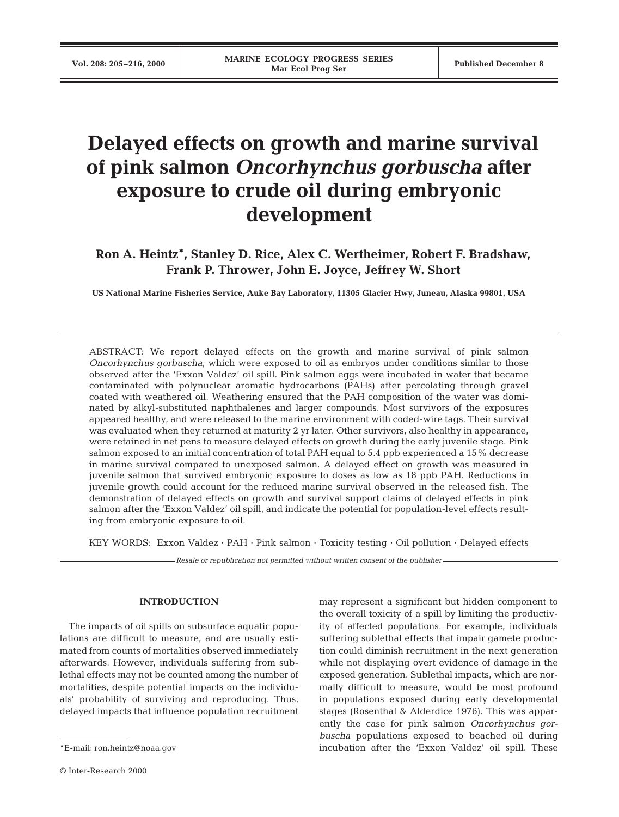# **Delayed effects on growth and marine survival of pink salmon** *Oncorhynchus gorbuscha* **after exposure to crude oil during embryonic development**

**Ron A. Heintz\*, Stanley D. Rice, Alex C. Wertheimer, Robert F. Bradshaw, Frank P. Thrower, John E. Joyce, Jeffrey W. Short**

**US National Marine Fisheries Service, Auke Bay Laboratory, 11305 Glacier Hwy, Juneau, Alaska 99801, USA**

ABSTRACT: We report delayed effects on the growth and marine survival of pink salmon *Oncorhynchus gorbuscha*, which were exposed to oil as embryos under conditions similar to those observed after the 'Exxon Valdez' oil spill. Pink salmon eggs were incubated in water that became contaminated with polynuclear aromatic hydrocarbons (PAHs) after percolating through gravel coated with weathered oil. Weathering ensured that the PAH composition of the water was dominated by alkyl-substituted naphthalenes and larger compounds. Most survivors of the exposures appeared healthy, and were released to the marine environment with coded-wire tags. Their survival was evaluated when they returned at maturity 2 yr later. Other survivors, also healthy in appearance, were retained in net pens to measure delayed effects on growth during the early juvenile stage. Pink salmon exposed to an initial concentration of total PAH equal to 5.4 ppb experienced a 15% decrease in marine survival compared to unexposed salmon. A delayed effect on growth was measured in juvenile salmon that survived embryonic exposure to doses as low as 18 ppb PAH. Reductions in juvenile growth could account for the reduced marine survival observed in the released fish. The demonstration of delayed effects on growth and survival support claims of delayed effects in pink salmon after the 'Exxon Valdez' oil spill, and indicate the potential for population-level effects resulting from embryonic exposure to oil.

KEY WORDS: Exxon Valdez · PAH · Pink salmon · Toxicity testing · Oil pollution · Delayed effects

*Resale or republication not permitted without written consent of the publisher*

## **INTRODUCTION**

The impacts of oil spills on subsurface aquatic populations are difficult to measure, and are usually estimated from counts of mortalities observed immediately afterwards. However, individuals suffering from sublethal effects may not be counted among the number of mortalities, despite potential impacts on the individuals' probability of surviving and reproducing. Thus, delayed impacts that influence population recruitment may represent a significant but hidden component to the overall toxicity of a spill by limiting the productivity of affected populations. For example, individuals suffering sublethal effects that impair gamete production could diminish recruitment in the next generation while not displaying overt evidence of damage in the exposed generation. Sublethal impacts, which are normally difficult to measure, would be most profound in populations exposed during early developmental stages (Rosenthal & Alderdice 1976). This was apparently the case for pink salmon *Oncorhynchus gorbuscha* populations exposed to beached oil during incubation after the 'Exxon Valdez' oil spill. These

<sup>\*</sup>E-mail: ron.heintz@noaa.gov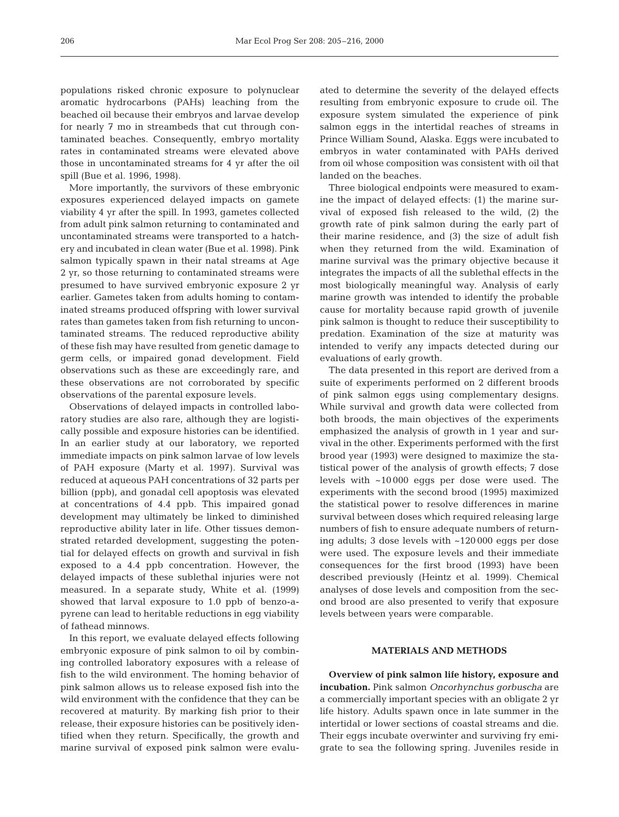populations risked chronic exposure to polynuclear aromatic hydrocarbons (PAHs) leaching from the beached oil because their embryos and larvae develop for nearly 7 mo in streambeds that cut through contaminated beaches. Consequently, embryo mortality rates in contaminated streams were elevated above those in uncontaminated streams for 4 yr after the oil spill (Bue et al. 1996, 1998).

More importantly, the survivors of these embryonic exposures experienced delayed impacts on gamete viability 4 yr after the spill. In 1993, gametes collected from adult pink salmon returning to contaminated and uncontaminated streams were transported to a hatchery and incubated in clean water (Bue et al. 1998). Pink salmon typically spawn in their natal streams at Age 2 yr, so those returning to contaminated streams were presumed to have survived embryonic exposure 2 yr earlier. Gametes taken from adults homing to contaminated streams produced offspring with lower survival rates than gametes taken from fish returning to uncontaminated streams. The reduced reproductive ability of these fish may have resulted from genetic damage to germ cells, or impaired gonad development. Field observations such as these are exceedingly rare, and these observations are not corroborated by specific observations of the parental exposure levels.

Observations of delayed impacts in controlled laboratory studies are also rare, although they are logistically possible and exposure histories can be identified. In an earlier study at our laboratory, we reported immediate impacts on pink salmon larvae of low levels of PAH exposure (Marty et al. 1997). Survival was reduced at aqueous PAH concentrations of 32 parts per billion (ppb), and gonadal cell apoptosis was elevated at concentrations of 4.4 ppb. This impaired gonad development may ultimately be linked to diminished reproductive ability later in life. Other tissues demonstrated retarded development, suggesting the potential for delayed effects on growth and survival in fish exposed to a 4.4 ppb concentration. However, the delayed impacts of these sublethal injuries were not measured. In a separate study, White et al. (1999) showed that larval exposure to 1.0 ppb of benzo-apyrene can lead to heritable reductions in egg viability of fathead minnows.

In this report, we evaluate delayed effects following embryonic exposure of pink salmon to oil by combining controlled laboratory exposures with a release of fish to the wild environment. The homing behavior of pink salmon allows us to release exposed fish into the wild environment with the confidence that they can be recovered at maturity. By marking fish prior to their release, their exposure histories can be positively identified when they return. Specifically, the growth and marine survival of exposed pink salmon were evaluated to determine the severity of the delayed effects resulting from embryonic exposure to crude oil. The exposure system simulated the experience of pink salmon eggs in the intertidal reaches of streams in Prince William Sound, Alaska. Eggs were incubated to embryos in water contaminated with PAHs derived from oil whose composition was consistent with oil that landed on the beaches.

Three biological endpoints were measured to examine the impact of delayed effects: (1) the marine survival of exposed fish released to the wild, (2) the growth rate of pink salmon during the early part of their marine residence, and (3) the size of adult fish when they returned from the wild. Examination of marine survival was the primary objective because it integrates the impacts of all the sublethal effects in the most biologically meaningful way. Analysis of early marine growth was intended to identify the probable cause for mortality because rapid growth of juvenile pink salmon is thought to reduce their susceptibility to predation. Examination of the size at maturity was intended to verify any impacts detected during our evaluations of early growth.

The data presented in this report are derived from a suite of experiments performed on 2 different broods of pink salmon eggs using complementary designs. While survival and growth data were collected from both broods, the main objectives of the experiments emphasized the analysis of growth in 1 year and survival in the other. Experiments performed with the first brood year (1993) were designed to maximize the statistical power of the analysis of growth effects; 7 dose levels with ~10 000 eggs per dose were used. The experiments with the second brood (1995) maximized the statistical power to resolve differences in marine survival between doses which required releasing large numbers of fish to ensure adequate numbers of returning adults; 3 dose levels with ~120 000 eggs per dose were used. The exposure levels and their immediate consequences for the first brood (1993) have been described previously (Heintz et al. 1999). Chemical analyses of dose levels and composition from the second brood are also presented to verify that exposure levels between years were comparable.

# **MATERIALS AND METHODS**

**Overview of pink salmon life history, exposure and incubation.** Pink salmon *Oncorhynchus gorbuscha* are a commercially important species with an obligate 2 yr life history. Adults spawn once in late summer in the intertidal or lower sections of coastal streams and die. Their eggs incubate overwinter and surviving fry emigrate to sea the following spring. Juveniles reside in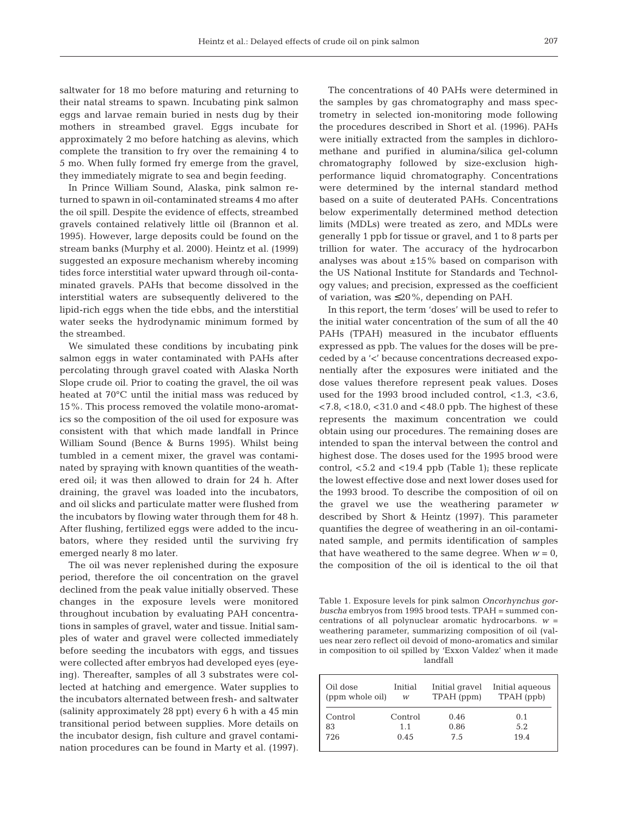saltwater for 18 mo before maturing and returning to their natal streams to spawn. Incubating pink salmon eggs and larvae remain buried in nests dug by their mothers in streambed gravel. Eggs incubate for approximately 2 mo before hatching as alevins, which complete the transition to fry over the remaining 4 to 5 mo. When fully formed fry emerge from the gravel, they immediately migrate to sea and begin feeding.

In Prince William Sound, Alaska, pink salmon returned to spawn in oil-contaminated streams 4 mo after the oil spill. Despite the evidence of effects, streambed gravels contained relatively little oil (Brannon et al. 1995). However, large deposits could be found on the stream banks (Murphy et al. 2000). Heintz et al. (1999) suggested an exposure mechanism whereby incoming tides force interstitial water upward through oil-contaminated gravels. PAHs that become dissolved in the interstitial waters are subsequently delivered to the lipid-rich eggs when the tide ebbs, and the interstitial water seeks the hydrodynamic minimum formed by the streambed.

We simulated these conditions by incubating pink salmon eggs in water contaminated with PAHs after percolating through gravel coated with Alaska North Slope crude oil. Prior to coating the gravel, the oil was heated at 70°C until the initial mass was reduced by 15%. This process removed the volatile mono-aromatics so the composition of the oil used for exposure was consistent with that which made landfall in Prince William Sound (Bence & Burns 1995). Whilst being tumbled in a cement mixer, the gravel was contaminated by spraying with known quantities of the weathered oil; it was then allowed to drain for 24 h. After draining, the gravel was loaded into the incubators, and oil slicks and particulate matter were flushed from the incubators by flowing water through them for 48 h. After flushing, fertilized eggs were added to the incubators, where they resided until the surviving fry emerged nearly 8 mo later.

The oil was never replenished during the exposure period, therefore the oil concentration on the gravel declined from the peak value initially observed. These changes in the exposure levels were monitored throughout incubation by evaluating PAH concentrations in samples of gravel, water and tissue. Initial samples of water and gravel were collected immediately before seeding the incubators with eggs, and tissues were collected after embryos had developed eyes (eyeing). Thereafter, samples of all 3 substrates were collected at hatching and emergence. Water supplies to the incubators alternated between fresh- and saltwater (salinity approximately 28 ppt) every 6 h with a 45 min transitional period between supplies. More details on the incubator design, fish culture and gravel contamination procedures can be found in Marty et al. (1997).

The concentrations of 40 PAHs were determined in the samples by gas chromatography and mass spectrometry in selected ion-monitoring mode following the procedures described in Short et al. (1996). PAHs were initially extracted from the samples in dichloromethane and purified in alumina/silica gel-column chromatography followed by size-exclusion highperformance liquid chromatography. Concentrations were determined by the internal standard method based on a suite of deuterated PAHs. Concentrations below experimentally determined method detection limits (MDLs) were treated as zero, and MDLs were generally 1 ppb for tissue or gravel, and 1 to 8 parts per trillion for water. The accuracy of the hydrocarbon analyses was about  $\pm 15\%$  based on comparison with the US National Institute for Standards and Technology values; and precision, expressed as the coefficient of variation, was  $\leq 20\%$ , depending on PAH.

In this report, the term 'doses' will be used to refer to the initial water concentration of the sum of all the 40 PAHs (TPAH) measured in the incubator effluents expressed as ppb. The values for the doses will be preceded by a '<' because concentrations decreased exponentially after the exposures were initiated and the dose values therefore represent peak values. Doses used for the 1993 brood included control, <1.3, <3.6,  $<$  7.8,  $<$  18.0,  $<$  31.0 and  $<$  48.0 ppb. The highest of these represents the maximum concentration we could obtain using our procedures. The remaining doses are intended to span the interval between the control and highest dose. The doses used for the 1995 brood were control,  $<$  5.2 and  $<$  19.4 ppb (Table 1); these replicate the lowest effective dose and next lower doses used for the 1993 brood. To describe the composition of oil on the gravel we use the weathering parameter *w* described by Short & Heintz (1997). This parameter quantifies the degree of weathering in an oil-contaminated sample, and permits identification of samples that have weathered to the same degree. When  $w = 0$ , the composition of the oil is identical to the oil that

Table 1. Exposure levels for pink salmon *Oncorhynchus gorbuscha* embryos from 1995 brood tests. TPAH = summed concentrations of all polynuclear aromatic hydrocarbons. *w* = weathering parameter, summarizing composition of oil (values near zero reflect oil devoid of mono-aromatics and similar in composition to oil spilled by 'Exxon Valdez' when it made landfall

| Oil dose<br>(ppm whole oil) | Initial<br>W | Initial gravel<br>TPAH (ppm) | Initial agueous<br>TPAH (ppb) |
|-----------------------------|--------------|------------------------------|-------------------------------|
| Control                     | Control      | 0.46                         | 0.1                           |
| 83                          | 1.1          | 0.86                         | 5.2                           |
| 726                         | 0.45         | 7.5                          | 19.4                          |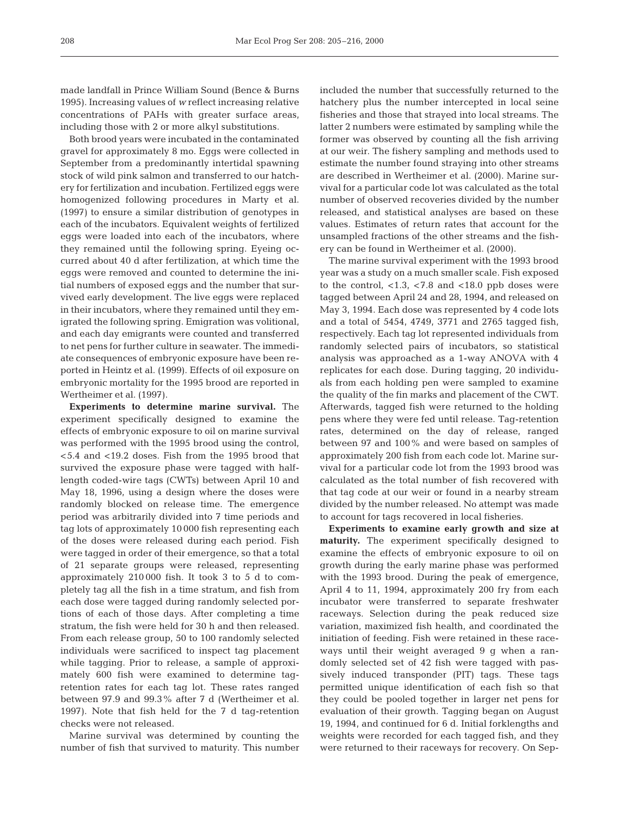made landfall in Prince William Sound (Bence & Burns 1995). Increasing values of *w* reflect increasing relative concentrations of PAHs with greater surface areas, including those with 2 or more alkyl substitutions.

Both brood years were incubated in the contaminated gravel for approximately 8 mo. Eggs were collected in September from a predominantly intertidal spawning stock of wild pink salmon and transferred to our hatchery for fertilization and incubation. Fertilized eggs were homogenized following procedures in Marty et al. (1997) to ensure a similar distribution of genotypes in each of the incubators. Equivalent weights of fertilized eggs were loaded into each of the incubators, where they remained until the following spring. Eyeing occurred about 40 d after fertilization, at which time the eggs were removed and counted to determine the initial numbers of exposed eggs and the number that survived early development. The live eggs were replaced in their incubators, where they remained until they emigrated the following spring. Emigration was volitional, and each day emigrants were counted and transferred to net pens for further culture in seawater. The immediate consequences of embryonic exposure have been reported in Heintz et al. (1999). Effects of oil exposure on embryonic mortality for the 1995 brood are reported in Wertheimer et al. (1997).

**Experiments to determine marine survival.** The experiment specifically designed to examine the effects of embryonic exposure to oil on marine survival was performed with the 1995 brood using the control, <5.4 and <19.2 doses. Fish from the 1995 brood that survived the exposure phase were tagged with halflength coded-wire tags (CWTs) between April 10 and May 18, 1996, using a design where the doses were randomly blocked on release time. The emergence period was arbitrarily divided into 7 time periods and tag lots of approximately 10 000 fish representing each of the doses were released during each period. Fish were tagged in order of their emergence, so that a total of 21 separate groups were released, representing approximately 210 000 fish. It took 3 to 5 d to completely tag all the fish in a time stratum, and fish from each dose were tagged during randomly selected portions of each of those days. After completing a time stratum, the fish were held for 30 h and then released. From each release group, 50 to 100 randomly selected individuals were sacrificed to inspect tag placement while tagging. Prior to release, a sample of approximately 600 fish were examined to determine tagretention rates for each tag lot. These rates ranged between 97.9 and 99.3% after 7 d (Wertheimer et al. 1997). Note that fish held for the 7 d tag-retention checks were not released.

Marine survival was determined by counting the number of fish that survived to maturity. This number included the number that successfully returned to the hatchery plus the number intercepted in local seine fisheries and those that strayed into local streams. The latter 2 numbers were estimated by sampling while the former was observed by counting all the fish arriving at our weir. The fishery sampling and methods used to estimate the number found straying into other streams are described in Wertheimer et al. (2000). Marine survival for a particular code lot was calculated as the total number of observed recoveries divided by the number released, and statistical analyses are based on these values. Estimates of return rates that account for the unsampled fractions of the other streams and the fishery can be found in Wertheimer et al. (2000).

The marine survival experiment with the 1993 brood year was a study on a much smaller scale. Fish exposed to the control,  $< 1.3$ ,  $< 7.8$  and  $< 18.0$  ppb doses were tagged between April 24 and 28, 1994, and released on May 3, 1994. Each dose was represented by 4 code lots and a total of 5454, 4749, 3771 and 2765 tagged fish, respectively. Each tag lot represented individuals from randomly selected pairs of incubators, so statistical analysis was approached as a 1-way ANOVA with 4 replicates for each dose. During tagging, 20 individuals from each holding pen were sampled to examine the quality of the fin marks and placement of the CWT. Afterwards, tagged fish were returned to the holding pens where they were fed until release. Tag-retention rates, determined on the day of release, ranged between 97 and 100% and were based on samples of approximately 200 fish from each code lot. Marine survival for a particular code lot from the 1993 brood was calculated as the total number of fish recovered with that tag code at our weir or found in a nearby stream divided by the number released. No attempt was made to account for tags recovered in local fisheries.

**Experiments to examine early growth and size at maturity.** The experiment specifically designed to examine the effects of embryonic exposure to oil on growth during the early marine phase was performed with the 1993 brood. During the peak of emergence, April 4 to 11, 1994, approximately 200 fry from each incubator were transferred to separate freshwater raceways. Selection during the peak reduced size variation, maximized fish health, and coordinated the initiation of feeding. Fish were retained in these raceways until their weight averaged 9 g when a randomly selected set of 42 fish were tagged with passively induced transponder (PIT) tags. These tags permitted unique identification of each fish so that they could be pooled together in larger net pens for evaluation of their growth. Tagging began on August 19, 1994, and continued for 6 d. Initial forklengths and weights were recorded for each tagged fish, and they were returned to their raceways for recovery. On Sep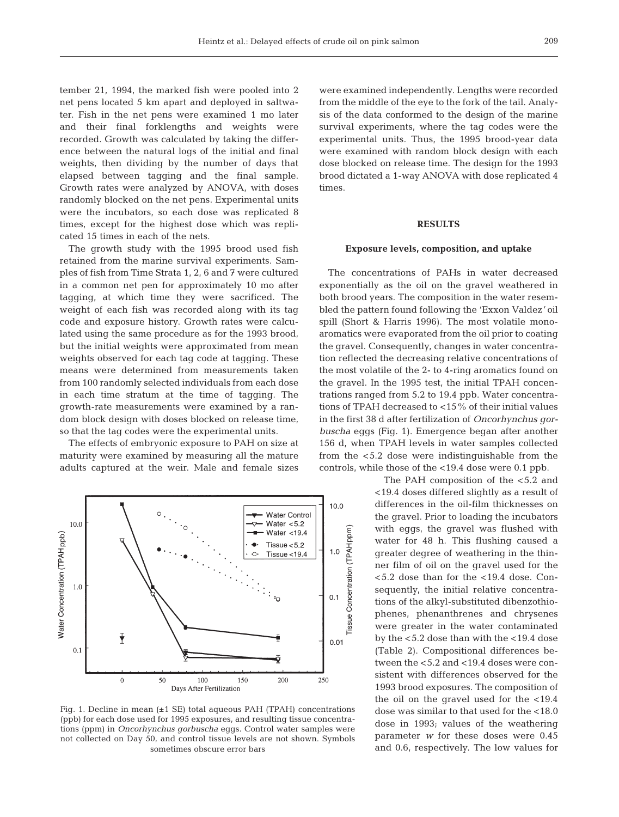tember 21, 1994, the marked fish were pooled into 2 net pens located 5 km apart and deployed in saltwater. Fish in the net pens were examined 1 mo later and their final forklengths and weights were recorded. Growth was calculated by taking the difference between the natural logs of the initial and final weights, then dividing by the number of days that elapsed between tagging and the final sample. Growth rates were analyzed by ANOVA, with doses randomly blocked on the net pens. Experimental units were the incubators, so each dose was replicated 8 times, except for the highest dose which was replicated 15 times in each of the nets.

The growth study with the 1995 brood used fish retained from the marine survival experiments. Samples of fish from Time Strata 1, 2, 6 and 7 were cultured in a common net pen for approximately 10 mo after tagging, at which time they were sacrificed. The weight of each fish was recorded along with its tag code and exposure history. Growth rates were calculated using the same procedure as for the 1993 brood, but the initial weights were approximated from mean weights observed for each tag code at tagging. These means were determined from measurements taken from 100 randomly selected individuals from each dose in each time stratum at the time of tagging. The growth-rate measurements were examined by a random block design with doses blocked on release time, so that the tag codes were the experimental units.

The effects of embryonic exposure to PAH on size at maturity were examined by measuring all the mature adults captured at the weir. Male and female sizes



Fig. 1. Decline in mean  $(\pm 1 \text{ SE})$  total aqueous PAH (TPAH) concentrations (ppb) for each dose used for 1995 exposures, and resulting tissue concentrations (ppm) in *Oncorhynchus gorbuscha* eggs. Control water samples were not collected on Day 50, and control tissue levels are not shown. Symbols sometimes obscure error bars

were examined independently. Lengths were recorded from the middle of the eye to the fork of the tail. Analysis of the data conformed to the design of the marine survival experiments, where the tag codes were the experimental units. Thus, the 1995 brood-year data were examined with random block design with each dose blocked on release time. The design for the 1993 brood dictated a 1-way ANOVA with dose replicated 4 times.

# **RESULTS**

#### **Exposure levels, composition, and uptake**

The concentrations of PAHs in water decreased exponentially as the oil on the gravel weathered in both brood years. The composition in the water resembled the pattern found following the 'Exxon Valdez*'* oil spill (Short & Harris 1996). The most volatile monoaromatics were evaporated from the oil prior to coating the gravel. Consequently, changes in water concentration reflected the decreasing relative concentrations of the most volatile of the 2- to 4-ring aromatics found on the gravel. In the 1995 test, the initial TPAH concentrations ranged from 5.2 to 19.4 ppb. Water concentrations of TPAH decreased to <15% of their initial values in the first 38 d after fertilization of *Oncorhynchus gorbuscha* eggs (Fig. 1). Emergence began after another 156 d, when TPAH levels in water samples collected from the <5.2 dose were indistinguishable from the controls, while those of the <19.4 dose were 0.1 ppb.

> The PAH composition of the <5.2 and <19.4 doses differed slightly as a result of differences in the oil-film thicknesses on the gravel. Prior to loading the incubators with eggs, the gravel was flushed with water for 48 h. This flushing caused a greater degree of weathering in the thinner film of oil on the gravel used for the <5.2 dose than for the <19.4 dose. Consequently, the initial relative concentrations of the alkyl-substituted dibenzothiophenes, phenanthrenes and chrysenes were greater in the water contaminated by the <5.2 dose than with the <19.4 dose (Table 2). Compositional differences between the <5.2 and <19.4 doses were consistent with differences observed for the 1993 brood exposures. The composition of the oil on the gravel used for the <19.4 dose was similar to that used for the <18.0 dose in 1993; values of the weathering parameter *w* for these doses were 0.45 and 0.6, respectively. The low values for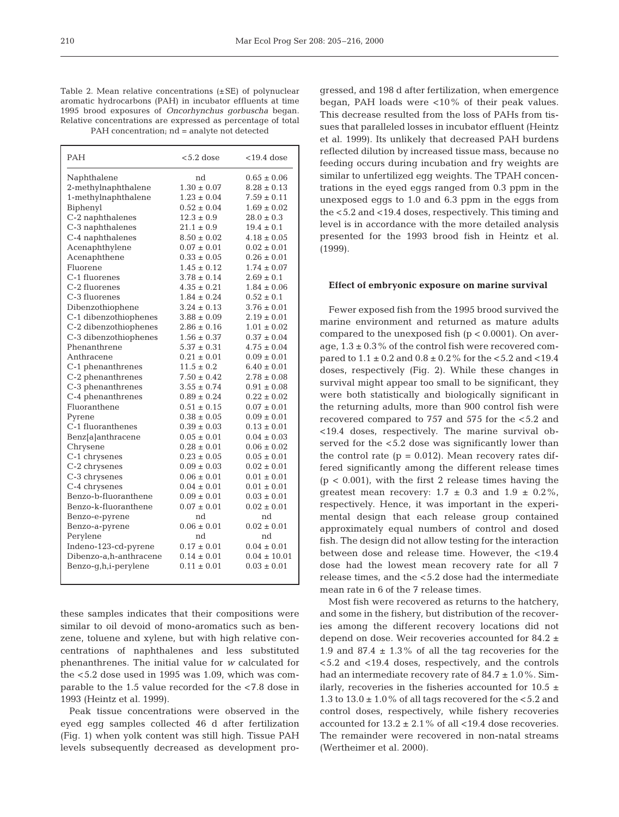Table 2. Mean relative concentrations (±SE) of polynuclear aromatic hydrocarbons (PAH) in incubator effluents at time 1995 brood exposures of *Oncorhynchus gorbuscha* began. Relative concentrations are expressed as percentage of total PAH concentration; nd = analyte not detected

| PAH                    | $< 5.2$ dose    | $< 19.4$ dose    |
|------------------------|-----------------|------------------|
| Naphthalene            | nd              | $0.65 \pm 0.06$  |
| 2-methylnaphthalene    | $1.30 \pm 0.07$ | $8.28 \pm 0.13$  |
| 1-methylnaphthalene    | $1.23 \pm 0.04$ | $7.59 \pm 0.11$  |
| Biphenyl               | $0.52 \pm 0.04$ | $1.69 \pm 0.02$  |
| C-2 naphthalenes       | $12.3 \pm 0.9$  | $28.0 \pm 0.3$   |
| C-3 naphthalenes       | $21.1 \pm 0.9$  | $19.4 \pm 0.1$   |
| C-4 naphthalenes       | $8.50 \pm 0.02$ | $4.18 \pm 0.05$  |
| Acenaphthylene         | $0.07 \pm 0.01$ | $0.02 \pm 0.01$  |
| Acenaphthene           | $0.33 \pm 0.05$ | $0.26 \pm 0.01$  |
| Fluorene               | $1.45 \pm 0.12$ | $1.74 \pm 0.07$  |
| C-1 fluorenes          | $3.78 \pm 0.14$ | $2.69 \pm 0.1$   |
| C-2 fluorenes          | $4.35 \pm 0.21$ | $1.84 \pm 0.06$  |
| C-3 fluorenes          | $1.84 \pm 0.24$ | $0.52 \pm 0.1$   |
| Dibenzothiophene       | $3.24 \pm 0.13$ | $3.76 \pm 0.01$  |
| C-1 dibenzothiophenes  | $3.88 \pm 0.09$ | $2.19 \pm 0.01$  |
| C-2 dibenzothiophenes  | $2.86 \pm 0.16$ | $1.01 \pm 0.02$  |
| C-3 dibenzothiophenes  | $1.56 \pm 0.37$ | $0.37 \pm 0.04$  |
| Phenanthrene           | $5.37 \pm 0.31$ | $4.75 \pm 0.04$  |
| Anthracene             | $0.21 \pm 0.01$ | $0.09 \pm 0.01$  |
| C-1 phenanthrenes      | $11.5 \pm 0.2$  | $6.40 \pm 0.01$  |
| C-2 phenanthrenes      | $7.50 \pm 0.42$ | $2.78 \pm 0.08$  |
| C-3 phenanthrenes      | $3.55 \pm 0.74$ | $0.91 \pm 0.08$  |
| C-4 phenanthrenes      | $0.89 \pm 0.24$ | $0.22 \pm 0.02$  |
| Fluoranthene           | $0.51 \pm 0.15$ | $0.07 \pm 0.01$  |
| Pyrene                 | $0.38 \pm 0.05$ | $0.09 \pm 0.01$  |
| C-1 fluoranthenes      | $0.39 \pm 0.03$ | $0.13 \pm 0.01$  |
| Benz[a]anthracene      | $0.05 \pm 0.01$ | $0.04 \pm 0.03$  |
| Chrysene               | $0.28 \pm 0.01$ | $0.06 \pm 0.02$  |
| C-1 chrysenes          | $0.23 \pm 0.05$ | $0.05 \pm 0.01$  |
| C-2 chrysenes          | $0.09 \pm 0.03$ | $0.02 \pm 0.01$  |
| C-3 chrysenes          | $0.06 \pm 0.01$ | $0.01 \pm 0.01$  |
| C-4 chrysenes          | $0.04 \pm 0.01$ | $0.01 \pm 0.01$  |
| Benzo-b-fluoranthene   | $0.09 \pm 0.01$ | $0.03 \pm 0.01$  |
| Benzo-k-fluoranthene   | $0.07 \pm 0.01$ | $0.02 \pm 0.01$  |
| Benzo-e-pyrene         | nd              | nd               |
| Benzo-a-pyrene         | $0.06 \pm 0.01$ | $0.02 \pm 0.01$  |
| Perylene               | nd              | nd               |
| Indeno-123-cd-pyrene   | $0.17 \pm 0.01$ | $0.04 \pm 0.01$  |
| Dibenzo-a,h-anthracene | $0.14 \pm 0.01$ | $0.04 \pm 10.01$ |
| Benzo-g,h,i-perylene   | $0.11 \pm 0.01$ | $0.03 \pm 0.01$  |

these samples indicates that their compositions were similar to oil devoid of mono-aromatics such as benzene, toluene and xylene, but with high relative concentrations of naphthalenes and less substituted phenanthrenes. The initial value for *w* calculated for the <5.2 dose used in 1995 was 1.09, which was comparable to the 1.5 value recorded for the <7.8 dose in 1993 (Heintz et al. 1999).

Peak tissue concentrations were observed in the eyed egg samples collected 46 d after fertilization (Fig. 1) when yolk content was still high. Tissue PAH levels subsequently decreased as development progressed, and 198 d after fertilization, when emergence began, PAH loads were <10% of their peak values. This decrease resulted from the loss of PAHs from tissues that paralleled losses in incubator effluent (Heintz et al. 1999). Its unlikely that decreased PAH burdens reflected dilution by increased tissue mass, because no feeding occurs during incubation and fry weights are similar to unfertilized egg weights. The TPAH concentrations in the eyed eggs ranged from 0.3 ppm in the unexposed eggs to 1.0 and 6.3 ppm in the eggs from the <5.2 and <19.4 doses, respectively. This timing and level is in accordance with the more detailed analysis presented for the 1993 brood fish in Heintz et al. (1999).

#### **Effect of embryonic exposure on marine survival**

Fewer exposed fish from the 1995 brood survived the marine environment and returned as mature adults compared to the unexposed fish  $(p < 0.0001)$ . On average,  $1.3 \pm 0.3$ % of the control fish were recovered compared to  $1.1 \pm 0.2$  and  $0.8 \pm 0.2$ % for the  $< 5.2$  and  $< 19.4$ doses, respectively (Fig. 2). While these changes in survival might appear too small to be significant, they were both statistically and biologically significant in the returning adults, more than 900 control fish were recovered compared to 757 and 575 for the <5.2 and <19.4 doses, respectively. The marine survival observed for the <5.2 dose was significantly lower than the control rate  $(p = 0.012)$ . Mean recovery rates differed significantly among the different release times  $(p < 0.001)$ , with the first 2 release times having the greatest mean recovery:  $1.7 \pm 0.3$  and  $1.9 \pm 0.2\%$ , respectively. Hence, it was important in the experimental design that each release group contained approximately equal numbers of control and dosed fish. The design did not allow testing for the interaction between dose and release time. However, the <19.4 dose had the lowest mean recovery rate for all 7 release times, and the <5.2 dose had the intermediate mean rate in 6 of the 7 release times.

Most fish were recovered as returns to the hatchery, and some in the fishery, but distribution of the recoveries among the different recovery locations did not depend on dose. Weir recoveries accounted for 84.2 ± 1.9 and 87.4  $\pm$  1.3% of all the tag recoveries for the <5.2 and <19.4 doses, respectively, and the controls had an intermediate recovery rate of  $84.7 \pm 1.0\%$ . Similarly, recoveries in the fisheries accounted for  $10.5 \pm$ 1.3 to  $13.0 \pm 1.0$ % of all tags recovered for the <5.2 and control doses, respectively, while fishery recoveries accounted for  $13.2 \pm 2.1\%$  of all <19.4 dose recoveries. The remainder were recovered in non-natal streams (Wertheimer et al. 2000).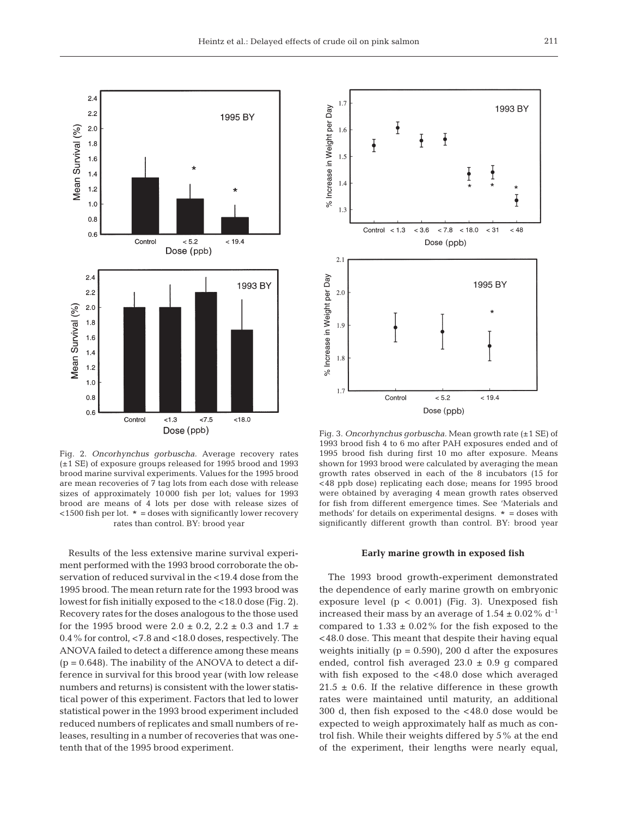

Fig. 2. *Oncorhynchus gorbuscha.* Average recovery rates (±1 SE) of exposure groups released for 1995 brood and 1993 brood marine survival experiments. Values for the 1995 brood are mean recoveries of 7 tag lots from each dose with release sizes of approximately 10 000 fish per lot; values for 1993 brood are means of 4 lots per dose with release sizes of  $<$ 1500 fish per lot.  $* =$  doses with significantly lower recovery rates than control. BY: brood year

Results of the less extensive marine survival experiment performed with the 1993 brood corroborate the observation of reduced survival in the <19.4 dose from the 1995 brood. The mean return rate for the 1993 brood was lowest for fish initially exposed to the <18.0 dose (Fig. 2). Recovery rates for the doses analogous to the those used for the 1995 brood were  $2.0 \pm 0.2$ ,  $2.2 \pm 0.3$  and  $1.7 \pm 1.5$ 0.4% for control, <7.8 and <18.0 doses, respectively. The ANOVA failed to detect a difference among these means  $(p = 0.648)$ . The inability of the ANOVA to detect a difference in survival for this brood year (with low release numbers and returns) is consistent with the lower statistical power of this experiment. Factors that led to lower statistical power in the 1993 brood experiment included reduced numbers of replicates and small numbers of releases, resulting in a number of recoveries that was onetenth that of the 1995 brood experiment.



Fig. 3. *Oncorhynchus gorbuscha.* Mean growth rate (±1 SE) of 1993 brood fish 4 to 6 mo after PAH exposures ended and of 1995 brood fish during first 10 mo after exposure. Means shown for 1993 brood were calculated by averaging the mean growth rates observed in each of the 8 incubators (15 for <48 ppb dose) replicating each dose; means for 1995 brood were obtained by averaging 4 mean growth rates observed for fish from different emergence times. See 'Materials and methods' for details on experimental designs. \* = doses with significantly different growth than control. BY: brood year

#### **Early marine growth in exposed fish**

The 1993 brood growth-experiment demonstrated the dependence of early marine growth on embryonic exposure level  $(p < 0.001)$  (Fig. 3). Unexposed fish increased their mass by an average of  $1.54 \pm 0.02\%$  d<sup>-1</sup> compared to  $1.33 \pm 0.02\%$  for the fish exposed to the <48.0 dose. This meant that despite their having equal weights initially ( $p = 0.590$ ), 200 d after the exposures ended, control fish averaged  $23.0 \pm 0.9$  g compared with fish exposed to the <48.0 dose which averaged  $21.5 \pm 0.6$ . If the relative difference in these growth rates were maintained until maturity, an additional 300 d, then fish exposed to the <48.0 dose would be expected to weigh approximately half as much as control fish. While their weights differed by 5% at the end of the experiment, their lengths were nearly equal,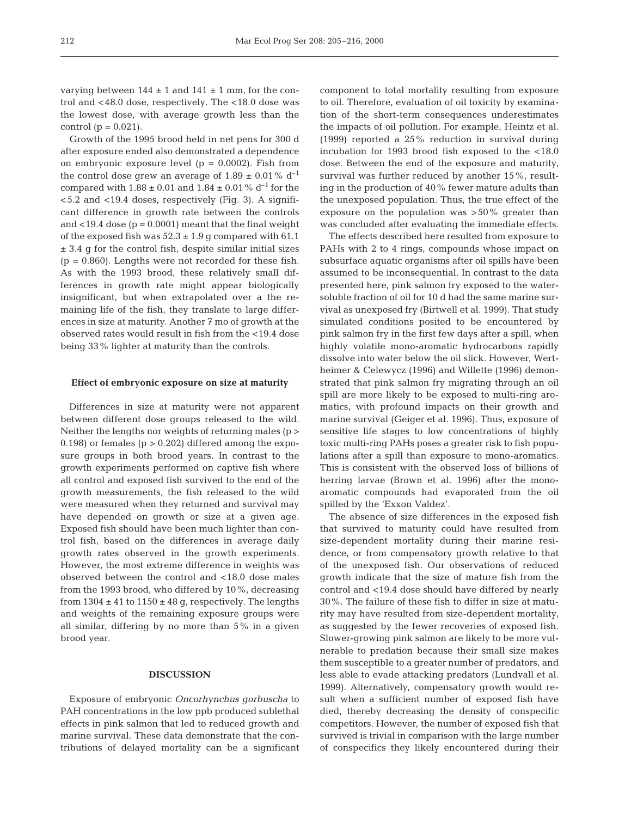varying between  $144 \pm 1$  and  $141 \pm 1$  mm, for the control and <48.0 dose, respectively*.* The <18.0 dose was the lowest dose, with average growth less than the control ( $p = 0.021$ ).

Growth of the 1995 brood held in net pens for 300 d after exposure ended also demonstrated a dependence on embryonic exposure level  $(p = 0.0002)$ . Fish from the control dose grew an average of  $1.89 \pm 0.01\%$  d<sup>-1</sup> compared with  $1.88 \pm 0.01$  and  $1.84 \pm 0.01$  % d<sup>-1</sup> for the <5.2 and <19.4 doses, respectively (Fig. 3). A significant difference in growth rate between the controls and <19.4 dose  $(p = 0.0001)$  meant that the final weight of the exposed fish was  $52.3 \pm 1.9$  g compared with 61.1 ± 3.4 g for the control fish, despite similar initial sizes  $(p = 0.860)$ . Lengths were not recorded for these fish. As with the 1993 brood, these relatively small differences in growth rate might appear biologically insignificant, but when extrapolated over a the remaining life of the fish, they translate to large differences in size at maturity. Another 7 mo of growth at the observed rates would result in fish from the <19.4 dose being 33% lighter at maturity than the controls.

#### **Effect of embryonic exposure on size at maturity**

Differences in size at maturity were not apparent between different dose groups released to the wild. Neither the lengths nor weights of returning males (p > 0.198) or females ( $p > 0.202$ ) differed among the exposure groups in both brood years. In contrast to the growth experiments performed on captive fish where all control and exposed fish survived to the end of the growth measurements, the fish released to the wild were measured when they returned and survival may have depended on growth or size at a given age. Exposed fish should have been much lighter than control fish, based on the differences in average daily growth rates observed in the growth experiments. However, the most extreme difference in weights was observed between the control and <18.0 dose males from the 1993 brood, who differed by 10%, decreasing from  $1304 \pm 41$  to  $1150 \pm 48$  g, respectively. The lengths and weights of the remaining exposure groups were all similar, differing by no more than 5% in a given brood year.

## **DISCUSSION**

Exposure of embryonic *Oncorhynchus gorbuscha* to PAH concentrations in the low ppb produced sublethal effects in pink salmon that led to reduced growth and marine survival. These data demonstrate that the contributions of delayed mortality can be a significant component to total mortality resulting from exposure to oil. Therefore, evaluation of oil toxicity by examination of the short-term consequences underestimates the impacts of oil pollution. For example, Heintz et al. (1999) reported a 25% reduction in survival during incubation for 1993 brood fish exposed to the <18.0 dose. Between the end of the exposure and maturity, survival was further reduced by another 15%, resulting in the production of 40% fewer mature adults than the unexposed population. Thus, the true effect of the exposure on the population was >50% greater than was concluded after evaluating the immediate effects.

The effects described here resulted from exposure to PAHs with 2 to 4 rings, compounds whose impact on subsurface aquatic organisms after oil spills have been assumed to be inconsequential. In contrast to the data presented here, pink salmon fry exposed to the watersoluble fraction of oil for 10 d had the same marine survival as unexposed fry (Birtwell et al. 1999). That study simulated conditions posited to be encountered by pink salmon fry in the first few days after a spill, when highly volatile mono-aromatic hydrocarbons rapidly dissolve into water below the oil slick. However, Wertheimer & Celewycz (1996) and Willette (1996) demonstrated that pink salmon fry migrating through an oil spill are more likely to be exposed to multi-ring aromatics, with profound impacts on their growth and marine survival (Geiger et al. 1996). Thus, exposure of sensitive life stages to low concentrations of highly toxic multi-ring PAHs poses a greater risk to fish populations after a spill than exposure to mono-aromatics. This is consistent with the observed loss of billions of herring larvae (Brown et al. 1996) after the monoaromatic compounds had evaporated from the oil spilled by the 'Exxon Valdez'.

The absence of size differences in the exposed fish that survived to maturity could have resulted from size-dependent mortality during their marine residence, or from compensatory growth relative to that of the unexposed fish. Our observations of reduced growth indicate that the size of mature fish from the control and <19.4 dose should have differed by nearly 30%. The failure of these fish to differ in size at maturity may have resulted from size-dependent mortality, as suggested by the fewer recoveries of exposed fish. Slower-growing pink salmon are likely to be more vulnerable to predation because their small size makes them susceptible to a greater number of predators, and less able to evade attacking predators (Lundvall et al. 1999). Alternatively, compensatory growth would result when a sufficient number of exposed fish have died, thereby decreasing the density of conspecific competitors. However, the number of exposed fish that survived is trivial in comparison with the large number of conspecifics they likely encountered during their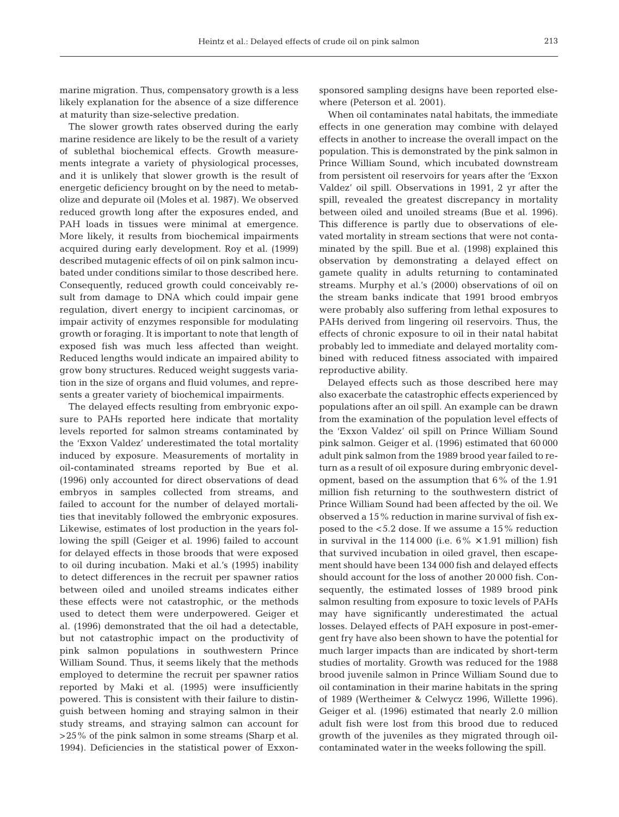marine migration. Thus, compensatory growth is a less likely explanation for the absence of a size difference at maturity than size-selective predation.

The slower growth rates observed during the early marine residence are likely to be the result of a variety of sublethal biochemical effects. Growth measurements integrate a variety of physiological processes, and it is unlikely that slower growth is the result of energetic deficiency brought on by the need to metabolize and depurate oil (Moles et al. 1987). We observed reduced growth long after the exposures ended, and PAH loads in tissues were minimal at emergence. More likely, it results from biochemical impairments acquired during early development. Roy et al. (1999) described mutagenic effects of oil on pink salmon incubated under conditions similar to those described here. Consequently, reduced growth could conceivably result from damage to DNA which could impair gene regulation, divert energy to incipient carcinomas, or impair activity of enzymes responsible for modulating growth or foraging. It is important to note that length of exposed fish was much less affected than weight. Reduced lengths would indicate an impaired ability to grow bony structures. Reduced weight suggests variation in the size of organs and fluid volumes, and represents a greater variety of biochemical impairments.

The delayed effects resulting from embryonic exposure to PAHs reported here indicate that mortality levels reported for salmon streams contaminated by the 'Exxon Valdez' underestimated the total mortality induced by exposure. Measurements of mortality in oil-contaminated streams reported by Bue et al. (1996) only accounted for direct observations of dead embryos in samples collected from streams, and failed to account for the number of delayed mortalities that inevitably followed the embryonic exposures. Likewise, estimates of lost production in the years following the spill (Geiger et al. 1996) failed to account for delayed effects in those broods that were exposed to oil during incubation. Maki et al.'s (1995) inability to detect differences in the recruit per spawner ratios between oiled and unoiled streams indicates either these effects were not catastrophic, or the methods used to detect them were underpowered. Geiger et al. (1996) demonstrated that the oil had a detectable, but not catastrophic impact on the productivity of pink salmon populations in southwestern Prince William Sound. Thus, it seems likely that the methods employed to determine the recruit per spawner ratios reported by Maki et al. (1995) were insufficiently powered. This is consistent with their failure to distinguish between homing and straying salmon in their study streams, and straying salmon can account for >25% of the pink salmon in some streams (Sharp et al. 1994). Deficiencies in the statistical power of Exxonsponsored sampling designs have been reported elsewhere (Peterson et al. 2001).

When oil contaminates natal habitats, the immediate effects in one generation may combine with delayed effects in another to increase the overall impact on the population. This is demonstrated by the pink salmon in Prince William Sound, which incubated downstream from persistent oil reservoirs for years after the 'Exxon Valdez' oil spill. Observations in 1991, 2 yr after the spill, revealed the greatest discrepancy in mortality between oiled and unoiled streams (Bue et al. 1996). This difference is partly due to observations of elevated mortality in stream sections that were not contaminated by the spill. Bue et al. (1998) explained this observation by demonstrating a delayed effect on gamete quality in adults returning to contaminated streams. Murphy et al.'s (2000) observations of oil on the stream banks indicate that 1991 brood embryos were probably also suffering from lethal exposures to PAHs derived from lingering oil reservoirs. Thus, the effects of chronic exposure to oil in their natal habitat probably led to immediate and delayed mortality combined with reduced fitness associated with impaired reproductive ability.

Delayed effects such as those described here may also exacerbate the catastrophic effects experienced by populations after an oil spill. An example can be drawn from the examination of the population level effects of the 'Exxon Valdez' oil spill on Prince William Sound pink salmon. Geiger et al. (1996) estimated that 60 000 adult pink salmon from the 1989 brood year failed to return as a result of oil exposure during embryonic development, based on the assumption that 6% of the 1.91 million fish returning to the southwestern district of Prince William Sound had been affected by the oil. We observed a 15% reduction in marine survival of fish exposed to the <5.2 dose. If we assume a 15% reduction in survival in the 114 000 (i.e.  $6\% \times 1.91$  million) fish that survived incubation in oiled gravel, then escapement should have been 134 000 fish and delayed effects should account for the loss of another 20 000 fish. Consequently, the estimated losses of 1989 brood pink salmon resulting from exposure to toxic levels of PAHs may have significantly underestimated the actual losses. Delayed effects of PAH exposure in post-emergent fry have also been shown to have the potential for much larger impacts than are indicated by short-term studies of mortality. Growth was reduced for the 1988 brood juvenile salmon in Prince William Sound due to oil contamination in their marine habitats in the spring of 1989 (Wertheimer & Celwycz 1996, Willette 1996). Geiger et al. (1996) estimated that nearly 2.0 million adult fish were lost from this brood due to reduced growth of the juveniles as they migrated through oilcontaminated water in the weeks following the spill.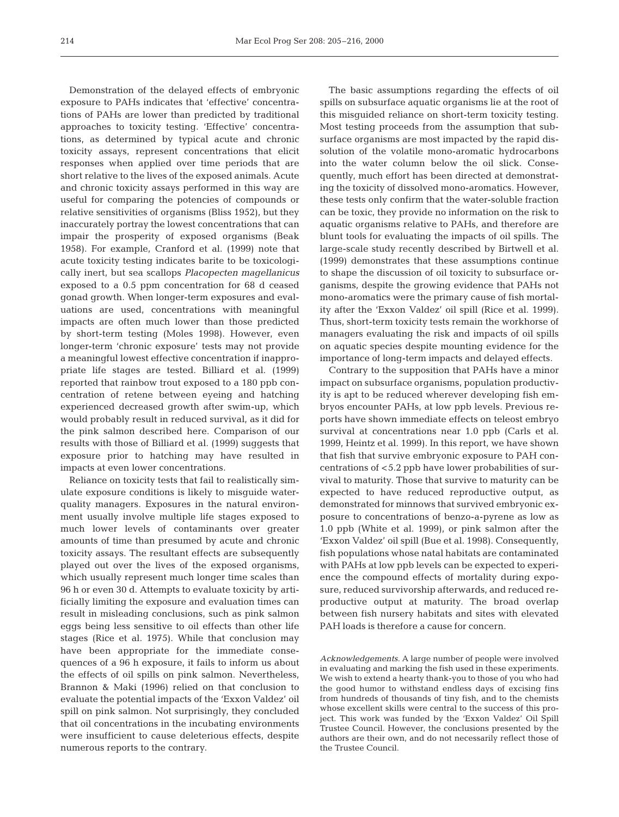Demonstration of the delayed effects of embryonic exposure to PAHs indicates that 'effective' concentrations of PAHs are lower than predicted by traditional approaches to toxicity testing. 'Effective' concentrations, as determined by typical acute and chronic toxicity assays, represent concentrations that elicit responses when applied over time periods that are short relative to the lives of the exposed animals. Acute and chronic toxicity assays performed in this way are useful for comparing the potencies of compounds or relative sensitivities of organisms (Bliss 1952), but they inaccurately portray the lowest concentrations that can impair the prosperity of exposed organisms (Beak 1958). For example, Cranford et al. (1999) note that acute toxicity testing indicates barite to be toxicologically inert, but sea scallops *Placopecten magellanicus* exposed to a 0.5 ppm concentration for 68 d ceased gonad growth. When longer-term exposures and evaluations are used, concentrations with meaningful impacts are often much lower than those predicted by short-term testing (Moles 1998). However, even longer-term 'chronic exposure' tests may not provide a meaningful lowest effective concentration if inappropriate life stages are tested. Billiard et al. (1999) reported that rainbow trout exposed to a 180 ppb concentration of retene between eyeing and hatching experienced decreased growth after swim-up, which would probably result in reduced survival, as it did for the pink salmon described here. Comparison of our results with those of Billiard et al. (1999) suggests that exposure prior to hatching may have resulted in impacts at even lower concentrations.

Reliance on toxicity tests that fail to realistically simulate exposure conditions is likely to misguide waterquality managers. Exposures in the natural environment usually involve multiple life stages exposed to much lower levels of contaminants over greater amounts of time than presumed by acute and chronic toxicity assays. The resultant effects are subsequently played out over the lives of the exposed organisms, which usually represent much longer time scales than 96 h or even 30 d. Attempts to evaluate toxicity by artificially limiting the exposure and evaluation times can result in misleading conclusions, such as pink salmon eggs being less sensitive to oil effects than other life stages (Rice et al. 1975). While that conclusion may have been appropriate for the immediate consequences of a 96 h exposure, it fails to inform us about the effects of oil spills on pink salmon. Nevertheless, Brannon & Maki (1996) relied on that conclusion to evaluate the potential impacts of the 'Exxon Valdez' oil spill on pink salmon. Not surprisingly, they concluded that oil concentrations in the incubating environments were insufficient to cause deleterious effects, despite numerous reports to the contrary.

The basic assumptions regarding the effects of oil spills on subsurface aquatic organisms lie at the root of this misguided reliance on short-term toxicity testing. Most testing proceeds from the assumption that subsurface organisms are most impacted by the rapid dissolution of the volatile mono-aromatic hydrocarbons into the water column below the oil slick. Consequently, much effort has been directed at demonstrating the toxicity of dissolved mono-aromatics. However, these tests only confirm that the water-soluble fraction can be toxic, they provide no information on the risk to aquatic organisms relative to PAHs, and therefore are blunt tools for evaluating the impacts of oil spills. The large-scale study recently described by Birtwell et al. (1999) demonstrates that these assumptions continue to shape the discussion of oil toxicity to subsurface organisms, despite the growing evidence that PAHs not mono-aromatics were the primary cause of fish mortality after the 'Exxon Valdez' oil spill (Rice et al. 1999). Thus, short-term toxicity tests remain the workhorse of managers evaluating the risk and impacts of oil spills on aquatic species despite mounting evidence for the importance of long-term impacts and delayed effects.

Contrary to the supposition that PAHs have a minor impact on subsurface organisms, population productivity is apt to be reduced wherever developing fish embryos encounter PAHs, at low ppb levels. Previous reports have shown immediate effects on teleost embryo survival at concentrations near 1.0 ppb (Carls et al. 1999, Heintz et al. 1999). In this report, we have shown that fish that survive embryonic exposure to PAH concentrations of <5.2 ppb have lower probabilities of survival to maturity. Those that survive to maturity can be expected to have reduced reproductive output, as demonstrated for minnows that survived embryonic exposure to concentrations of benzo-a-pyrene as low as 1.0 ppb (White et al. 1999), or pink salmon after the 'Exxon Valdez' oil spill (Bue et al. 1998). Consequently, fish populations whose natal habitats are contaminated with PAHs at low ppb levels can be expected to experience the compound effects of mortality during exposure, reduced survivorship afterwards, and reduced reproductive output at maturity. The broad overlap between fish nursery habitats and sites with elevated PAH loads is therefore a cause for concern.

*Acknowledgements.* A large number of people were involved in evaluating and marking the fish used in these experiments. We wish to extend a hearty thank-you to those of you who had the good humor to withstand endless days of excising fins from hundreds of thousands of tiny fish, and to the chemists whose excellent skills were central to the success of this project. This work was funded by the 'Exxon Valdez' Oil Spill Trustee Council. However, the conclusions presented by the authors are their own, and do not necessarily reflect those of the Trustee Council.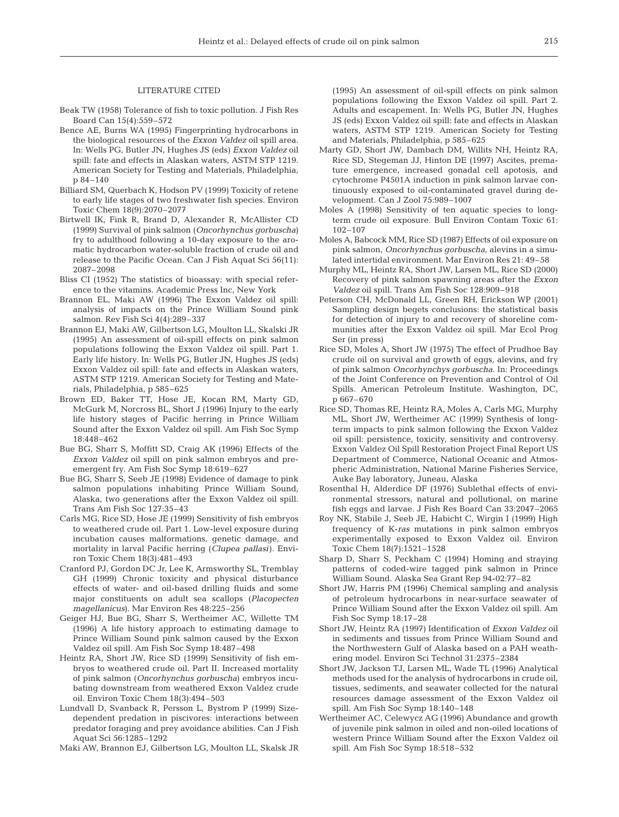## LITERATURE CITED

- Beak TW (1958) Tolerance of fish to toxic pollution. J Fish Res Board Can 15(4):559–572
- Bence AE, Burns WA (1995) Fingerprinting hydrocarbons in the biological resources of the *Exxon Valdez* oil spill area. In: Wells PG, Butler JN, Hughes JS (eds) *Exxon Valdez* oil spill: fate and effects in Alaskan waters, ASTM STP 1219. American Society for Testing and Materials, Philadelphia, p 84–140
- Billiard SM, Querbach K, Hodson PV (1999) Toxicity of retene to early life stages of two freshwater fish species. Environ Toxic Chem 18(9):2070–2077
- Birtwell IK, Fink R, Brand D, Alexander R, McAllister CD (1999) Survival of pink salmon (*Oncorhynchus gorbuscha*) fry to adulthood following a 10-day exposure to the aromatic hydrocarbon water-soluble fraction of crude oil and release to the Pacific Ocean. Can J Fish Aquat Sci 56(11): 2087–2098
- Bliss CI (1952) The statistics of bioassay: with special reference to the vitamins. Academic Press Inc, New York
- Brannon EL, Maki AW (1996) The Exxon Valdez oil spill: analysis of impacts on the Prince William Sound pink salmon. Rev Fish Sci 4(4):289–337
- Brannon EJ, Maki AW, Gilbertson LG, Moulton LL, Skalski JR (1995) An assessment of oil-spill effects on pink salmon populations following the Exxon Valdez oil spill. Part 1. Early life history. In: Wells PG, Butler JN, Hughes JS (eds) Exxon Valdez oil spill: fate and effects in Alaskan waters, ASTM STP 1219. American Society for Testing and Materials, Philadelphia, p 585–625
- Brown ED, Baker TT, Hose JE, Kocan RM, Marty GD, McGurk M, Norcross BL, Short J (1996) Injury to the early life history stages of Pacific herring in Prince William Sound after the Exxon Valdez oil spill. Am Fish Soc Symp 18:448–462
- Bue BG, Sharr S, Moffitt SD, Craig AK (1996) Effects of the *Exxon Valdez* oil spill on pink salmon embryos and preemergent fry. Am Fish Soc Symp 18:619–627
- Bue BG, Sharr S, Seeb JE (1998) Evidence of damage to pink salmon populations inhabiting Prince William Sound, Alaska, two generations after the Exxon Valdez oil spill. Trans Am Fish Soc 127:35–43
- Carls MG, Rice SD, Hose JE (1999) Sensitivity of fish embryos to weathered crude oil. Part 1. Low-level exposure during incubation causes malformations, genetic damage, and mortality in larval Pacific herring (*Clupea pallasi*). Environ Toxic Chem 18(3):481–493
- Cranford PJ, Gordon DC Jr, Lee K, Armsworthy SL, Tremblay GH (1999) Chronic toxicity and physical disturbance effects of water- and oil-based drilling fluids and some major constituents on adult sea scallops (*Placopecten magellanicus*). Mar Environ Res 48:225–256
- Geiger HJ, Bue BG, Sharr S, Wertheimer AC, Willette TM (1996) A life history approach to estimating damage to Prince William Sound pink salmon caused by the Exxon Valdez oil spill. Am Fish Soc Symp 18:487–498
- Heintz RA, Short JW, Rice SD (1999) Sensitivity of fish embryos to weathered crude oil. Part II. Increased mortality of pink salmon (*Oncorhynchus gorbuscha*) embryos incubating downstream from weathered Exxon Valdez crude oil. Environ Toxic Chem 18(3):494–503
- Lundvall D, Svanback R, Persson L, Bystrom P (1999) Sizedependent predation in piscivores: interactions between predator foraging and prey avoidance abilities. Can J Fish Aquat Sci 56:1285–1292
- Maki AW, Brannon EJ, Gilbertson LG, Moulton LL, Skalsk JR

(1995) An assessment of oil-spill effects on pink salmon populations following the Exxon Valdez oil spill. Part 2. Adults and escapement. In: Wells PG, Butler JN, Hughes JS (eds) Exxon Valdez oil spill: fate and effects in Alaskan waters, ASTM STP 1219. American Society for Testing and Materials, Philadelphia, p 585–625

- Marty GD, Short JW, Dambach DM, Willits NH, Heintz RA, Rice SD, Stegeman JJ, Hinton DE (1997) Ascites, premature emergence, increased gonadal cell apotosis, and cytochrome P4501A induction in pink salmon larvae continuously exposed to oil-contaminated gravel during development. Can J Zool 75:989–1007
- Moles A (1998) Sensitivity of ten aquatic species to longterm crude oil exposure. Bull Environ Contam Toxic 61: 102–107
- Moles A, Babcock MM, Rice SD (1987) Effects of oil exposure on pink salmon, *Oncorhynchus gorbuscha*, alevins in a simulated intertidal environment. Mar Environ Res 21: 49–58
- Murphy ML, Heintz RA, Short JW, Larsen ML, Rice SD (2000) Recovery of pink salmon spawning areas after the *Exxon Valdez* oil spill. Trans Am Fish Soc 128:909–918
- Peterson CH, McDonald LL, Green RH, Erickson WP (2001) Sampling design begets conclusions: the statistical basis for detection of injury to and recovery of shoreline communities after the Exxon Valdez oil spill. Mar Ecol Prog Ser (in press)
- Rice SD, Moles A, Short JW (1975) The effect of Prudhoe Bay crude oil on survival and growth of eggs, alevins, and fry of pink salmon *Oncorhynchys gorbuscha*. In: Proceedings of the Joint Conference on Prevention and Control of Oil Spills. American Petroleum Institute. Washington, DC, p 667–670
- Rice SD, Thomas RE, Heintz RA, Moles A, Carls MG, Murphy ML, Short JW, Wertheimer AC (1999) Synthesis of longterm impacts to pink salmon following the Exxon Valdez oil spill: persistence, toxicity, sensitivity and controversy. Exxon Valdez Oil Spill Restoration Project Final Report US Department of Commerce, National Oceanic and Atmospheric Administration, National Marine Fisheries Service, Auke Bay laboratory, Juneau, Alaska
- Rosenthal H, Alderdice DF (1976) Sublethal effects of environmental stressors, natural and pollutional, on marine fish eggs and larvae. J Fish Res Board Can 33:2047–2065
- Roy NK, Stabile J, Seeb JE, Habicht C, Wirgin I (1999) High frequency of K-*ras* mutations in pink salmon embryos experimentally exposed to Exxon Valdez oil. Environ Toxic Chem 18(7):1521–1528
- Sharp D, Sharr S, Peckham C (1994) Homing and straying patterns of coded-wire tagged pink salmon in Prince William Sound. Alaska Sea Grant Rep 94-02:77–82
- Short JW, Harris PM (1996) Chemical sampling and analysis of petroleum hydrocarbons in near-surface seawater of Prince William Sound after the Exxon Valdez oil spill. Am Fish Soc Symp 18:17–28
- Short JW, Heintz RA (1997) Identification of *Exxon Valdez* oil in sediments and tissues from Prince William Sound and the Northwestern Gulf of Alaska based on a PAH weathering model. Environ Sci Technol 31:2375–2384
- Short JW, Jackson TJ, Larsen ML, Wade TL (1996) Analytical methods used for the analysis of hydrocarbons in crude oil, tissues, sediments, and seawater collected for the natural resources damage assessment of the Exxon Valdez oil spill. Am Fish Soc Symp 18:140–148
- Wertheimer AC, Celewycz AG (1996) Abundance and growth of juvenile pink salmon in oiled and non-oiled locations of western Prince William Sound after the Exxon Valdez oil spill. Am Fish Soc Symp 18:518–532